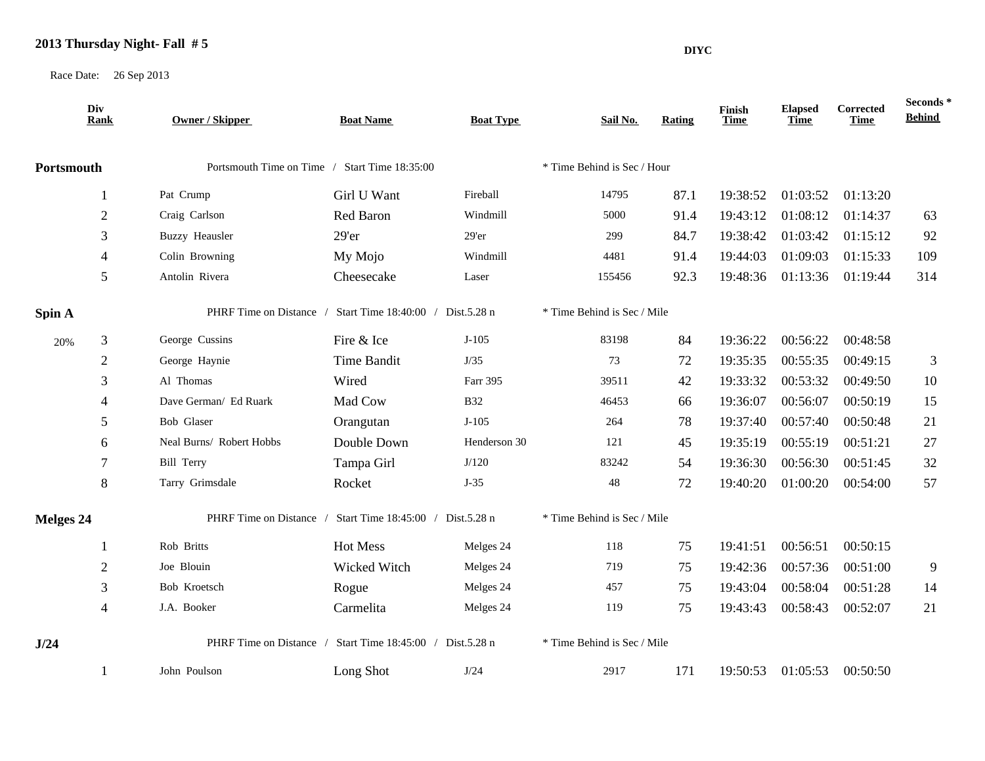## **2013 Thursday Night- Fall # 5**

Race Date: 26 Sep 2013

|            | Div<br><b>Rank</b>                                        | <b>Owner / Skipper</b>                                    | <b>Boat Name</b> | <b>Boat Type</b>            | Sail No.                    | Rating | Finish<br>Time | <b>Elapsed</b><br><b>Time</b> | Corrected<br>Time | Seconds*<br><b>Behind</b> |  |
|------------|-----------------------------------------------------------|-----------------------------------------------------------|------------------|-----------------------------|-----------------------------|--------|----------------|-------------------------------|-------------------|---------------------------|--|
| Portsmouth |                                                           | Portsmouth Time on Time / Start Time 18:35:00             |                  |                             | * Time Behind is Sec / Hour |        |                |                               |                   |                           |  |
|            |                                                           | Pat Crump                                                 | Girl U Want      | Fireball                    | 14795                       | 87.1   | 19:38:52       | 01:03:52                      | 01:13:20          |                           |  |
|            | $\mathfrak{2}$                                            | Craig Carlson                                             | Red Baron        | Windmill                    | 5000                        | 91.4   | 19:43:12       | 01:08:12                      | 01:14:37          | 63                        |  |
|            | 3                                                         | <b>Buzzy Heausler</b>                                     | 29'er            | $29'$ er                    | 299                         | 84.7   | 19:38:42       | 01:03:42                      | 01:15:12          | 92                        |  |
|            | $\overline{4}$                                            | Colin Browning                                            | My Mojo          | Windmill                    | 4481                        | 91.4   | 19:44:03       | 01:09:03                      | 01:15:33          | 109                       |  |
|            | 5                                                         | Antolin Rivera                                            | Cheesecake       | Laser                       | 155456                      | 92.3   | 19:48:36       | 01:13:36                      | 01:19:44          | 314                       |  |
| Spin A     |                                                           | PHRF Time on Distance / Start Time 18:40:00 / Dist.5.28 n |                  |                             | * Time Behind is Sec / Mile |        |                |                               |                   |                           |  |
| 20%        | 3                                                         | George Cussins                                            | Fire & Ice       | $J-105$                     | 83198                       | 84     | 19:36:22       | 00:56:22                      | 00:48:58          |                           |  |
|            | $\sqrt{2}$                                                | George Haynie                                             | Time Bandit      | J/35                        | 73                          | 72     | 19:35:35       | 00:55:35                      | 00:49:15          | 3                         |  |
|            | 3                                                         | Al Thomas                                                 | Wired            | Farr 395                    | 39511                       | 42     | 19:33:32       | 00:53:32                      | 00:49:50          | 10                        |  |
|            | $\overline{4}$                                            | Dave German/ Ed Ruark                                     | Mad Cow          | <b>B32</b>                  | 46453                       | 66     | 19:36:07       | 00:56:07                      | 00:50:19          | 15                        |  |
|            | 5                                                         | Bob Glaser                                                | Orangutan        | $J-105$                     | 264                         | 78     | 19:37:40       | 00:57:40                      | 00:50:48          | 21                        |  |
|            | 6                                                         | Neal Burns/ Robert Hobbs                                  | Double Down      | Henderson 30                | 121                         | 45     | 19:35:19       | 00:55:19                      | 00:51:21          | 27                        |  |
|            | 7                                                         | <b>Bill Terry</b>                                         | Tampa Girl       | J/120                       | 83242                       | 54     | 19:36:30       | 00:56:30                      | 00:51:45          | 32                        |  |
|            | $\,8\,$                                                   | Tarry Grimsdale                                           | Rocket           | $J-35$                      | 48                          | 72     | 19:40:20       | 01:00:20                      | 00:54:00          | 57                        |  |
| Melges 24  |                                                           | PHRF Time on Distance / Start Time 18:45:00 / Dist.5.28 n |                  |                             | * Time Behind is Sec / Mile |        |                |                               |                   |                           |  |
|            |                                                           | Rob Britts                                                | Hot Mess         | Melges 24                   | 118                         | 75     | 19:41:51       | 00:56:51                      | 00:50:15          |                           |  |
|            | $\overline{2}$                                            | Joe Blouin                                                | Wicked Witch     | Melges 24                   | 719                         | 75     | 19:42:36       | 00:57:36                      | 00:51:00          | 9                         |  |
|            | 3                                                         | Bob Kroetsch                                              | Rogue            | Melges 24                   | 457                         | 75     | 19:43:04       | 00:58:04                      | 00:51:28          | 14                        |  |
|            | $\overline{4}$                                            | J.A. Booker                                               | Carmelita        | Melges 24                   | 119                         | 75     | 19:43:43       | 00:58:43                      | 00:52:07          | 21                        |  |
| J/24       | PHRF Time on Distance / Start Time 18:45:00 / Dist.5.28 n |                                                           |                  | * Time Behind is Sec / Mile |                             |        |                |                               |                   |                           |  |

1 John Poulson Long Shot J/24 2917 171 19:50:53 01:05:53 00:50:50

**DIYC**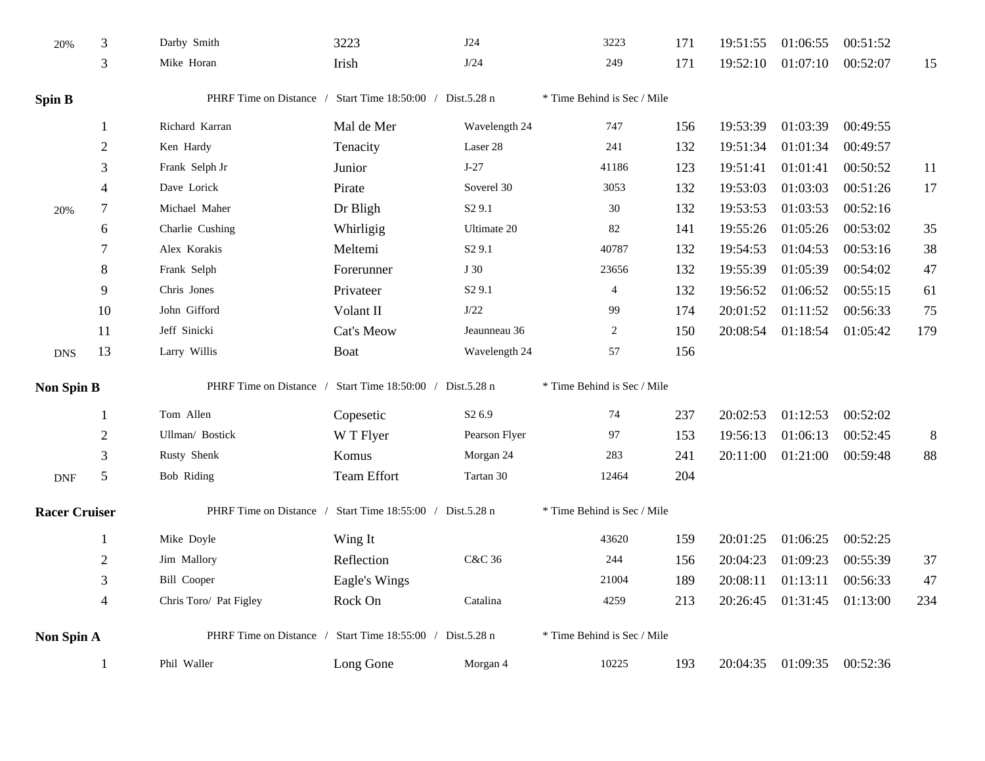| 20%                  | 3                        | Darby Smith                                                  | 3223          | J24                | 3223                        | 171 | 19:51:55 | 01:06:55 | 00:51:52 |        |  |
|----------------------|--------------------------|--------------------------------------------------------------|---------------|--------------------|-----------------------------|-----|----------|----------|----------|--------|--|
|                      | 3                        | Mike Horan                                                   | Irish         | J/24               | 249                         | 171 | 19:52:10 | 01:07:10 | 00:52:07 | 15     |  |
| <b>Spin B</b>        |                          | PHRF Time on Distance / Start Time 18:50:00 / Dist.5.28 n    |               |                    | * Time Behind is Sec / Mile |     |          |          |          |        |  |
|                      | 1                        | Richard Karran                                               | Mal de Mer    | Wavelength 24      | 747                         | 156 | 19:53:39 | 01:03:39 | 00:49:55 |        |  |
|                      | $\overline{2}$           | Ken Hardy                                                    | Tenacity      | Laser 28           | 241                         | 132 | 19:51:34 | 01:01:34 | 00:49:57 |        |  |
|                      | 3                        | Frank Selph Jr                                               | Junior        | $J-27$             | 41186                       | 123 | 19:51:41 | 01:01:41 | 00:50:52 | 11     |  |
|                      | 4                        | Dave Lorick                                                  | Pirate        | Soverel 30         | 3053                        | 132 | 19:53:03 | 01:03:03 | 00:51:26 | 17     |  |
| 20%                  | $\tau$                   | Michael Maher                                                | Dr Bligh      | S <sub>2</sub> 9.1 | $30\,$                      | 132 | 19:53:53 | 01:03:53 | 00:52:16 |        |  |
|                      | 6                        | Charlie Cushing                                              | Whirligig     | Ultimate 20        | 82                          | 141 | 19:55:26 | 01:05:26 | 00:53:02 | 35     |  |
|                      | 7                        | Alex Korakis                                                 | Meltemi       | S <sub>2</sub> 9.1 | 40787                       | 132 | 19:54:53 | 01:04:53 | 00:53:16 | 38     |  |
|                      | 8                        | Frank Selph                                                  | Forerunner    | J 30               | 23656                       | 132 | 19:55:39 | 01:05:39 | 00:54:02 | 47     |  |
|                      | 9                        | Chris Jones                                                  | Privateer     | S <sub>2</sub> 9.1 | $\overline{4}$              | 132 | 19:56:52 | 01:06:52 | 00:55:15 | 61     |  |
|                      | 10                       | John Gifford                                                 | Volant II     | $\rm J/22$         | 99                          | 174 | 20:01:52 | 01:11:52 | 00:56:33 | 75     |  |
|                      | 11                       | Jeff Sinicki                                                 | Cat's Meow    | Jeaunneau 36       | $\overline{c}$              | 150 | 20:08:54 | 01:18:54 | 01:05:42 | 179    |  |
| <b>DNS</b>           | 13                       | Larry Willis                                                 | Boat          | Wavelength 24      | 57                          | 156 |          |          |          |        |  |
| <b>Non Spin B</b>    |                          | PHRF Time on Distance / Start Time 18:50:00 / Dist.5.28 n    |               |                    | * Time Behind is Sec / Mile |     |          |          |          |        |  |
|                      | 1                        | Tom Allen                                                    | Copesetic     | S <sub>2</sub> 6.9 | 74                          | 237 | 20:02:53 | 01:12:53 | 00:52:02 |        |  |
|                      | $\overline{2}$           | Ullman/ Bostick                                              | W T Flyer     | Pearson Flyer      | 97                          | 153 | 19:56:13 | 01:06:13 | 00:52:45 | $8\,$  |  |
|                      | 3                        | Rusty Shenk                                                  | Komus         | Morgan 24          | 283                         | 241 | 20:11:00 | 01:21:00 | 00:59:48 | $88\,$ |  |
| <b>DNF</b>           | $\sqrt{5}$               | <b>Bob Riding</b>                                            | Team Effort   | Tartan 30          | 12464                       | 204 |          |          |          |        |  |
| <b>Racer Cruiser</b> |                          | PHRF Time on Distance /<br>Start Time 18:55:00 / Dist.5.28 n |               |                    | * Time Behind is Sec / Mile |     |          |          |          |        |  |
|                      | 1                        | Mike Doyle                                                   | Wing It       |                    | 43620                       | 159 | 20:01:25 | 01:06:25 | 00:52:25 |        |  |
|                      | $\sqrt{2}$               | Jim Mallory                                                  | Reflection    | C&C 36             | 244                         | 156 | 20:04:23 | 01:09:23 | 00:55:39 | 37     |  |
|                      | 3                        | <b>Bill Cooper</b>                                           | Eagle's Wings |                    | 21004                       | 189 | 20:08:11 | 01:13:11 | 00:56:33 | 47     |  |
|                      | $\overline{\mathcal{L}}$ | Chris Toro/ Pat Figley                                       | Rock On       | Catalina           | 4259                        | 213 | 20:26:45 | 01:31:45 | 01:13:00 | 234    |  |
| <b>Non Spin A</b>    |                          | PHRF Time on Distance / Start Time 18:55:00 / Dist.5.28 n    |               |                    | * Time Behind is Sec / Mile |     |          |          |          |        |  |
|                      | 1                        | Phil Waller                                                  | Long Gone     | Morgan 4           | 10225                       | 193 | 20:04:35 | 01:09:35 | 00:52:36 |        |  |